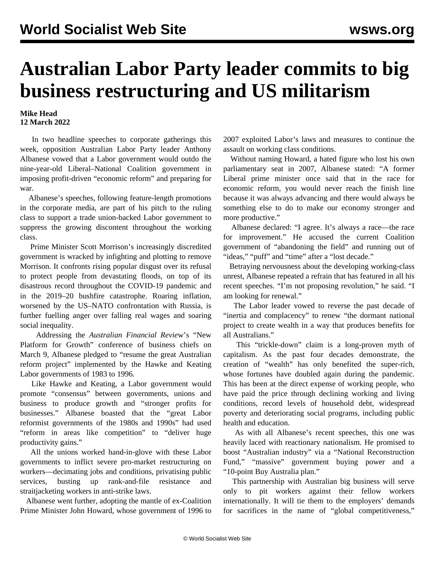## **Australian Labor Party leader commits to big business restructuring and US militarism**

## **Mike Head 12 March 2022**

 In two headline speeches to corporate gatherings this week, opposition Australian Labor Party leader Anthony Albanese vowed that a Labor government would outdo the nine-year-old Liberal–National Coalition government in imposing profit-driven "economic reform" and preparing for war.

 Albanese's speeches, following feature-length [promotions](/en/articles/2022/03/01/albo-m01.html) in the corporate media, are part of his pitch to the ruling class to support a trade union-backed Labor government to suppress the growing discontent throughout the working class.

 Prime Minister Scott Morrison's increasingly discredited government is wracked by infighting and plotting to remove Morrison. It confronts rising popular disgust over its refusal to protect people from devastating [floods](/en/articles/2022/03/07/floo-m07.html), on top of its disastrous record throughout the COVID-19 pandemic and in the 2019–20 bushfire catastrophe. Roaring inflation, worsened by the US–NATO confrontation with Russia, is further fuelling anger over falling real wages and soaring social inequality.

 Addressing the *Australian Financial Revie*w's "New Platform for Growth" conference of business chiefs on March 9, Albanese pledged to "resume the great Australian reform project" implemented by the Hawke and Keating Labor governments of 1983 to 1996.

 Like Hawke and Keating, a Labor government would promote "consensus" between governments, unions and business to produce growth and "stronger profits for businesses." Albanese boasted that the "great Labor reformist governments of the 1980s and 1990s" had used "reform in areas like competition" to "deliver huge productivity gains."

 All the unions worked hand-in-glove with these Labor governments to inflict severe pro-market restructuring on workers—decimating jobs and conditions, privatising public services, busting up rank-and-file resistance and straitjacketing workers in anti-strike laws.

 Albanese went further, adopting the mantle of ex-Coalition Prime Minister John Howard, whose government of 1996 to 2007 exploited Labor's laws and measures to continue the assault on working class conditions.

 Without naming Howard, a hated figure who lost his own parliamentary seat in 2007, Albanese stated: "A former Liberal prime minister once said that in the race for economic reform, you would never reach the finish line because it was always advancing and there would always be something else to do to make our economy stronger and more productive."

 Albanese declared: "I agree. It's always a race—the race for improvement." He accused the current Coalition government of "abandoning the field" and running out of "ideas," "puff" and "time" after a "lost decade."

 Betraying nervousness about the developing working-class unrest, Albanese repeated a refrain that has featured in all his recent speeches. "I'm not proposing revolution," he said. "I am looking for renewal."

 The Labor leader vowed to reverse the past decade of "inertia and complacency" to renew "the dormant national project to create wealth in a way that produces benefits for all Australians."

 This "trickle-down" claim is a long-proven myth of capitalism. As the past four decades demonstrate, the creation of "wealth" has only benefited the super-rich, whose fortunes have doubled again during the pandemic. This has been at the direct expense of working people, who have paid the price through declining working and living conditions, record levels of household debt, widespread poverty and deteriorating social programs, including public health and education.

 As with all Albanese's recent speeches, this one was heavily laced with reactionary nationalism. He promised to boost "Australian industry" via a "National Reconstruction Fund," "massive" government buying power and a "10-point Buy Australia plan."

 This partnership with Australian big business will serve only to pit workers against their fellow workers internationally. It will tie them to the employers' demands for sacrifices in the name of "global competitiveness,"